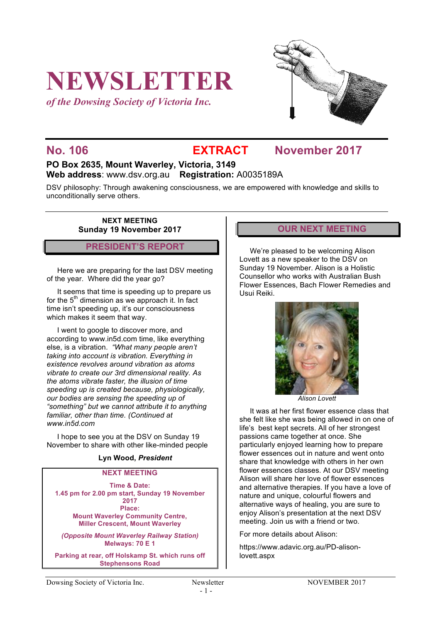# **NEWSLETTER**

*of the Dowsing Society of Victoria Inc.*



## **No. 106 EXTRACT November 2017**

#### **PO Box 2635, Mount Waverley, Victoria, 3149 Web address**: www.dsv.org.au **Registration:** A0035189A

DSV philosophy: Through awakening consciousness, we are empowered with knowledge and skills to unconditionally serve others.

**NEXT MEETING Sunday 19 November 2017**

#### **PRESIDENT'S REPORT**

Here we are preparing for the last DSV meeting of the year. Where did the year go?

It seems that time is speeding up to prepare us for the  $5<sup>th</sup>$  dimension as we approach it. In fact time isn't speeding up, it's our consciousness which makes it seem that way.

I went to google to discover more, and according to www.in5d.com time, like everything else, is a vibration. *"What many people aren't taking into account is vibration. Everything in existence revolves around vibration as atoms vibrate to create our 3rd dimensional reality. As the atoms vibrate faster, the illusion of time speeding up is created because, physiologically, our bodies are sensing the speeding up of "something" but we cannot attribute it to anything familiar, other than time. (Continued at www.in5d.com*

I hope to see you at the DSV on Sunday 19 November to share with other like-minded people

#### **Lyn Wood,** *President*

#### **NEXT MEETING**

**Time & Date: 1.45 pm for 2.00 pm start, Sunday 19 November 2017 Place: Mount Waverley Community Centre, Miller Crescent, Mount Waverley**

*(Opposite Mount Waverley Railway Station)* **Melways: 70 E 1**

**Parking at rear, off Holskamp St. which runs off Stephensons Road**

#### **OUR NEXT MEETING**

We're pleased to be welcoming Alison Lovett as a new speaker to the DSV on Sunday 19 November. Alison is a Holistic Counsellor who works with Australian Bush Flower Essences, Bach Flower Remedies and Usui Reiki.



*Alison Lovett*

It was at her first flower essence class that she felt like she was being allowed in on one of life's best kept secrets. All of her strongest passions came together at once. She particularly enjoyed learning how to prepare flower essences out in nature and went onto share that knowledge with others in her own flower essences classes. At our DSV meeting Alison will share her love of flower essences and alternative therapies. If you have a love of nature and unique, colourful flowers and alternative ways of healing, you are sure to enjoy Alison's presentation at the next DSV meeting. Join us with a friend or two.

For more details about Alison:

https://www.adavic.org.au/PD-alisonlovett.aspx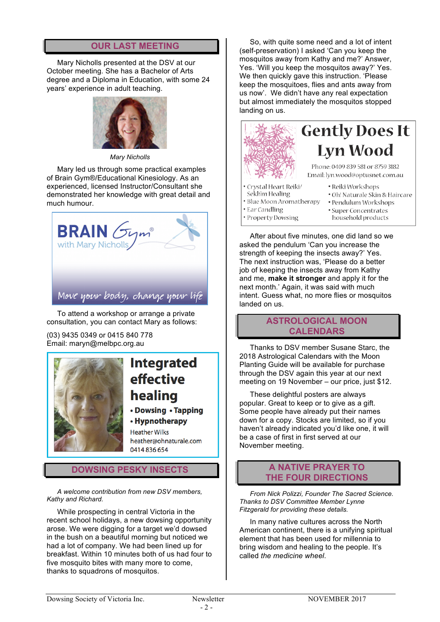### **OUR LAST MEETING**

Mary Nicholls presented at the DSV at our October meeting. She has a Bachelor of Arts degree and a Diploma in Education, with some 24 years' experience in adult teaching.



*Mary Nicholls*

Mary led us through some practical examples of Brain Gym®/Educational Kinesiology. As an experienced, licensed Instructor/Consultant she demonstrated her knowledge with great detail and much humour.



To attend a workshop or arrange a private consultation, you can contact Mary as follows:

(03) 9435 0349 or 0415 840 778 Email: maryn@melbpc.org.au



## **Integrated effective** healing

• Dowsing • Tapping

#### • Hypnotherapy **Heather Wilks**

heather@ohnaturale.com 0414836654

### **DOWSING PESKY INSECTS**

*A welcome contribution from new DSV members, Kathy and Richard.*

While prospecting in central Victoria in the recent school holidays, a new dowsing opportunity arose. We were digging for a target we'd dowsed in the bush on a beautiful morning but noticed we had a lot of company. We had been lined up for breakfast. Within 10 minutes both of us had four to five mosquito bites with many more to come, thanks to squadrons of mosquitos.

So, with quite some need and a lot of intent (self-preservation) I asked 'Can you keep the mosquitos away from Kathy and me?' Answer, Yes. 'Will you keep the mosquitos away?' Yes. We then quickly gave this instruction. 'Please keep the mosquitoes, flies and ants away from us now'. We didn't have any real expectation but almost immediately the mosquitos stopped landing on us.



## **Gently Does It Lyn Wood**

Phone: 0409 839 581 or 8759 3182 Email: lyn.wood@optusnet.com.au

- · Crystal Heart Reiki/
- · Reiki Workshops
- Sekh'm Healing · Blue Moon Aromatherapy
	- · Oh! Naturale Skin & Haircare · Pendulum Workshops
- Ear Candling · Property Dowsing
- · Super Concentrates
- household products

After about five minutes, one did land so we asked the pendulum 'Can you increase the strength of keeping the insects away?' Yes. The next instruction was, 'Please do a better job of keeping the insects away from Kathy and me, **make it stronger** and apply it for the next month.' Again, it was said with much intent. Guess what, no more flies or mosquitos landed on us.

### **ASTROLOGICAL MOON CALENDARS**

Thanks to DSV member Susane Starc, the 2018 Astrological Calendars with the Moon Planting Guide will be available for purchase through the DSV again this year at our next meeting on 19 November – our price, just \$12.

These delightful posters are always popular. Great to keep or to give as a gift. Some people have already put their names down for a copy. Stocks are limited, so if you haven't already indicated you'd like one, it will be a case of first in first served at our November meeting.

#### **A NATIVE PRAYER TO THE FOUR DIRECTIONS**

*From Nick Polizzi, Founder The Sacred Science. Thanks to DSV Committee Member Lynne Fitzgerald for providing these details.*

In many native cultures across the North American continent, there is a unifying spiritual element that has been used for millennia to bring wisdom and healing to the people. It's called *the medicine wheel*.